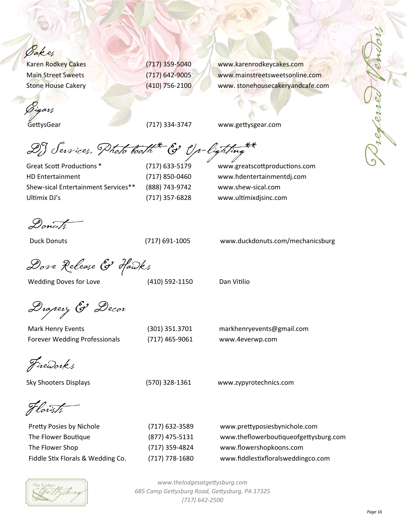*Gakes*<br>Karen Rodkey Cakes

Cigars

GettysGear (717) 334-3747 www.gettysgear.com

(717) 359-5040 www.karenrodkeycakes.com Main Street Sweets (717) 642-9005 www.mainstreetsweetsonline.com Stone House Cakery (410) 756-2100 www.stonehousecakeryandcafe.com

DJ Services, Photo booth \* & Up-lighting\*\*

HD Entertainment (717) 850-0460 www.hdentertainmentdj.com Shew-sical Entertainment Services\*\* (888) 743-9742 www.shew-sical.com Ultimix DJ's (717) 357-6828 www.ultimixdjsinc.com

Great Scott Productions \* (717) 633-5179 www.greatscottproductions.com

Donuts

Duck Donuts (717) 691-1005 www.duckdonuts.com/mechanicsburg

Dove Release & Hawks

Wedding Doves for Love (410) 592-1150 Dan Vitilio

Drapery & Decor

Mark Henry Events (301) 351.3701 markhenryevents@gmail.com Forever Wedding Professionals (717) 465-9061 www.4everwp.com

Fireworks

Sky Shooters Displays (570) 328-1361 www.zypyrotechnics.com

Florists

| (717) 632-3589   | www.prettyposiesbynichole.com         |
|------------------|---------------------------------------|
| (877) 475-5131   | www.theflowerboutiqueofgettysburg.com |
| (717) 359-4824   | www.flowershopkoons.com               |
| $(717)$ 778-1680 | www.fiddlestixfloralsweddingco.com    |
|                  |                                       |

*www.thelodgesatgeƩysburg.com 685 Camp GeƩysburg Road, GeƩysburg, PA 17325 (717) 642-2500*

Referred Vendors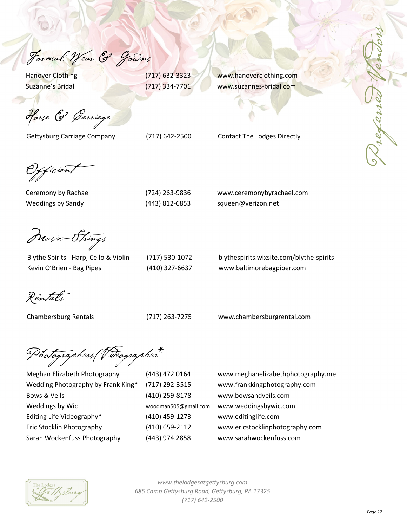Formal Wear & Gowns

Hanover Clothing (717) 632-3323 www.hanoverclothing.com Suzanne's Bridal (717) 334-7701 www.suzannes-bridal.com

Horse & Garriage

Gettysburg Carriage Company (717) 642-2500 Contact The Lodges Directly

(fician)

| (724) 263-9836 |
|----------------|
| (443) 812-6853 |

Ceremony by Rachael (724) 263-9836 www.ceremonybyrachael.com Weddings by Sandy (443) 812-6853 squeen@verizon.net

Music—Strings

Kevin O'Brien - Bag Pipes (410) 327-6637 www.baltimorebagpiper.com

| (717) 530-1072 |  |
|----------------|--|
| (410) 327-6637 |  |

Blythe Spirits - Harp, Cello & Violin (717) 530-1072 blythespirits.wixsite.com/blythe-spirits

Rentals

Chambersburg Rentals (717) 263-7275 www.chambersburgrental.com

Photographers/Videographer\*





*www.thelodgesatgeƩysburg.com 685 Camp GeƩysburg Road, GeƩysburg, PA 17325 (717) 642-2500*

 *Page 17*

Preferred Vendors